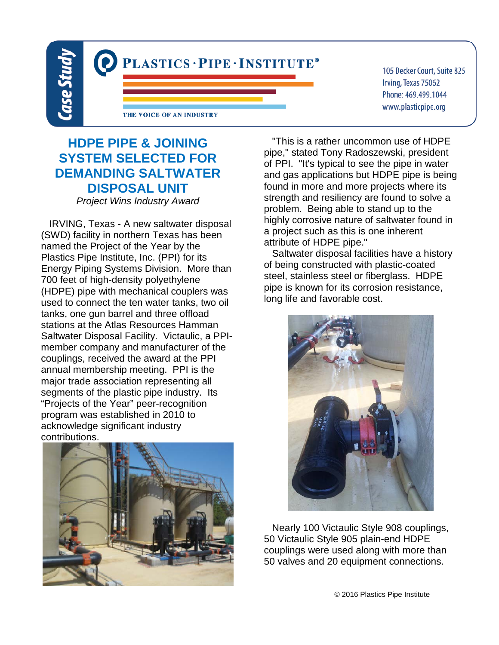

105 Decker Court, Suite 825 Irving, Texas 75062 Phone: 469.499.1044 www.plasticpipe.org

## **HDPE PIPE & JOINING SYSTEM SELECTED FOR DEMANDING SALTWATER DISPOSAL UNIT**

*Project Wins Industry Award*

 IRVING, Texas - A new saltwater disposal (SWD) facility in northern Texas has been named the Project of the Year by the Plastics Pipe Institute, Inc. (PPI) for its Energy Piping Systems Division. More than 700 feet of high-density polyethylene (HDPE) pipe with mechanical couplers was used to connect the ten water tanks, two oil tanks, one gun barrel and three offload stations at the Atlas Resources Hamman Saltwater Disposal Facility. Victaulic, a PPImember company and manufacturer of the couplings, received the award at the PPI annual membership meeting. PPI is the major trade association representing all segments of the plastic pipe industry. Its "Projects of the Year" peer-recognition program was established in 2010 to acknowledge significant industry contributions.



 "This is a rather uncommon use of HDPE pipe," stated Tony Radoszewski, president of PPI. "It's typical to see the pipe in water and gas applications but HDPE pipe is being found in more and more projects where its strength and resiliency are found to solve a problem. Being able to stand up to the highly corrosive nature of saltwater found in a project such as this is one inherent attribute of HDPE pipe."

 Saltwater disposal facilities have a history of being constructed with plastic-coated steel, stainless steel or fiberglass. HDPE pipe is known for its corrosion resistance, long life and favorable cost.



 Nearly 100 Victaulic Style 908 couplings, 50 Victaulic Style 905 plain-end HDPE couplings were used along with more than 50 valves and 20 equipment connections.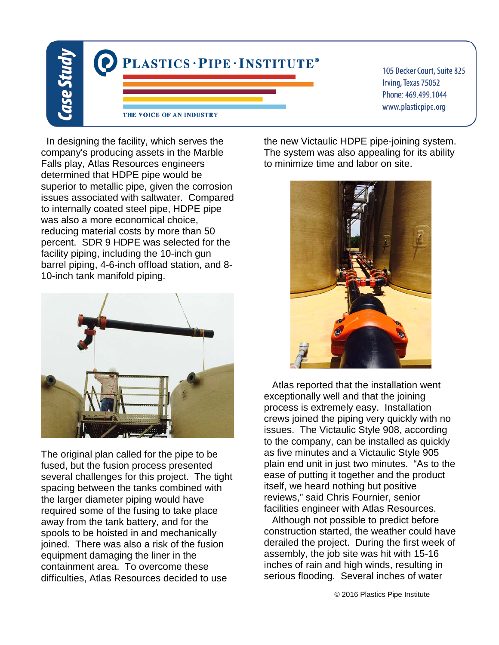

105 Decker Court, Suite 825 Irving, Texas 75062 Phone: 469.499.1044 www.plasticpipe.org

 In designing the facility, which serves the company's producing assets in the Marble Falls play, Atlas Resources engineers determined that HDPE pipe would be superior to metallic pipe, given the corrosion issues associated with saltwater. Compared to internally coated steel pipe, HDPE pipe was also a more economical choice, reducing material costs by more than 50 percent. SDR 9 HDPE was selected for the facility piping, including the 10-inch gun barrel piping, 4-6-inch offload station, and 8- 10-inch tank manifold piping.



The original plan called for the pipe to be fused, but the fusion process presented several challenges for this project. The tight spacing between the tanks combined with the larger diameter piping would have required some of the fusing to take place away from the tank battery, and for the spools to be hoisted in and mechanically joined. There was also a risk of the fusion equipment damaging the liner in the containment area. To overcome these difficulties, Atlas Resources decided to use

the new Victaulic HDPE pipe-joining system. The system was also appealing for its ability to minimize time and labor on site.



 Atlas reported that the installation went exceptionally well and that the joining process is extremely easy. Installation crews joined the piping very quickly with no issues. The Victaulic Style 908, according to the company, can be installed as quickly as five minutes and a Victaulic Style 905 plain end unit in just two minutes. "As to the ease of putting it together and the product itself, we heard nothing but positive reviews," said Chris Fournier, senior facilities engineer with Atlas Resources.

 Although not possible to predict before construction started, the weather could have derailed the project. During the first week of assembly, the job site was hit with 15-16 inches of rain and high winds, resulting in serious flooding. Several inches of water